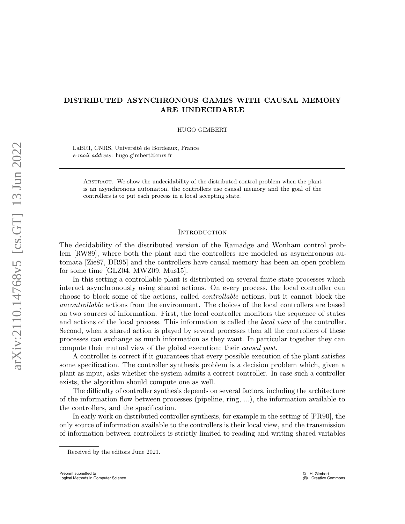# DISTRIBUTED ASYNCHRONOUS GAMES WITH CAUSAL MEMORY ARE UNDECIDABLE

HUGO GIMBERT

LaBRI, CNRS, Université de Bordeaux, France e-mail address: hugo.gimbert@cnrs.fr

Abstract. We show the undecidability of the distributed control problem when the plant is an asynchronous automaton, the controllers use causal memory and the goal of the controllers is to put each process in a local accepting state.

# **INTRODUCTION**

The decidability of the distributed version of the Ramadge and Wonham control problem [\[RW89\]](#page-21-0), where both the plant and the controllers are modeled as asynchronous automata [\[Zie87,](#page-21-1) [DR95\]](#page-20-0) and the controllers have causal memory has been an open problem for some time [\[GLZ04,](#page-20-1) [MWZ09,](#page-20-2) [Mus15\]](#page-20-3).

In this setting a controllable plant is distributed on several finite-state processes which interact asynchronously using shared actions. On every process, the local controller can choose to block some of the actions, called controllable actions, but it cannot block the uncontrollable actions from the environment. The choices of the local controllers are based on two sources of information. First, the local controller monitors the sequence of states and actions of the local process. This information is called the local view of the controller. Second, when a shared action is played by several processes then all the controllers of these processes can exchange as much information as they want. In particular together they can compute their mutual view of the global execution: their causal past.

A controller is correct if it guarantees that every possible execution of the plant satisfies some specification. The controller synthesis problem is a decision problem which, given a plant as input, asks whether the system admits a correct controller. In case such a controller exists, the algorithm should compute one as well.

The difficulty of controller synthesis depends on several factors, including the architecture of the information flow between processes (pipeline, ring, ...), the information available to the controllers, and the specification.

In early work on distributed controller synthesis, for example in the setting of [\[PR90\]](#page-21-2), the only source of information available to the controllers is their local view, and the transmission of information between controllers is strictly limited to reading and writing shared variables

Received by the editors June 2021.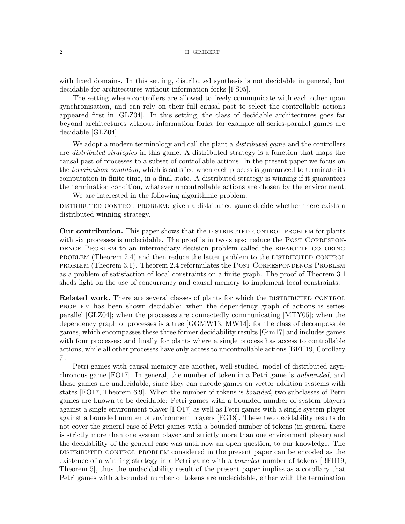with fixed domains. In this setting, distributed synthesis is not decidable in general, but decidable for architectures without information forks [\[FS05\]](#page-20-4).

The setting where controllers are allowed to freely communicate with each other upon synchronisation, and can rely on their full causal past to select the controllable actions appeared first in [\[GLZ04\]](#page-20-1). In this setting, the class of decidable architectures goes far beyond architectures without information forks, for example all series-parallel games are decidable [\[GLZ04\]](#page-20-1).

We adopt a modern terminology and call the plant a *distributed game* and the controllers are distributed strategies in this game. A distributed strategy is a function that maps the causal past of processes to a subset of controllable actions. In the present paper we focus on the *termination condition*, which is satisfied when each process is guaranteed to terminate its computation in finite time, in a final state. A distributed strategy is winning if it guarantees the termination condition, whatever uncontrollable actions are chosen by the environment. We are interested in the following algorithmic problem:

distributed control problem: given a distributed game decide whether there exists a distributed winning strategy.

**Our contribution.** This paper shows that the DISTRIBUTED CONTROL PROBLEM for plants with six processes is undecidable. The proof is in two steps: reduce the POST CORRESPONdence Problem to an intermediary decision problem called the BIPARTITE COLORING problem (Theorem [2.4\)](#page-8-0) and then reduce the latter problem to the distributed control problem (Theorem [3.1\)](#page-12-0). Theorem [2.4](#page-8-0) reformulates the Post Correspondence Problem as a problem of satisfaction of local constraints on a finite graph. The proof of Theorem [3.1](#page-12-0) sheds light on the use of concurrency and causal memory to implement local constraints.

**Related work.** There are several classes of plants for which the DISTRIBUTED CONTROL problem has been shown decidable: when the dependency graph of actions is seriesparallel [\[GLZ04\]](#page-20-1); when the processes are connectedly communicating [\[MTY05\]](#page-20-5); when the dependency graph of processes is a tree [\[GGMW13,](#page-20-6) [MW14\]](#page-20-7); for the class of decomposable games, which encompasses these three former decidability results [\[Gim17\]](#page-20-8) and includes games with four processes; and finally for plants where a single process has access to controllable actions, while all other processes have only access to uncontrollable actions [\[BFH19,](#page-19-0) Corollary 7].

Petri games with causal memory are another, well-studied, model of distributed asynchronous game [\[FO17\]](#page-20-9). In general, the number of token in a Petri game is unbounded, and these games are undecidable, since they can encode games on vector addition systems with states [\[FO17,](#page-20-9) Theorem 6.9]. When the number of tokens is bounded, two subclasses of Petri games are known to be decidable: Petri games with a bounded number of system players against a single environment player [\[FO17\]](#page-20-9) as well as Petri games with a single system player against a bounded number of environment players [\[FG18\]](#page-20-10). These two decidability results do not cover the general case of Petri games with a bounded number of tokens (in general there is strictly more than one system player and strictly more than one environment player) and the decidability of the general case was until now an open question, to our knowledge. The distributed control problem considered in the present paper can be encoded as the existence of a winning strategy in a Petri game with a *bounded* number of tokens **[BFH19**, Theorem 5], thus the undecidability result of the present paper implies as a corollary that Petri games with a bounded number of tokens are undecidable, either with the termination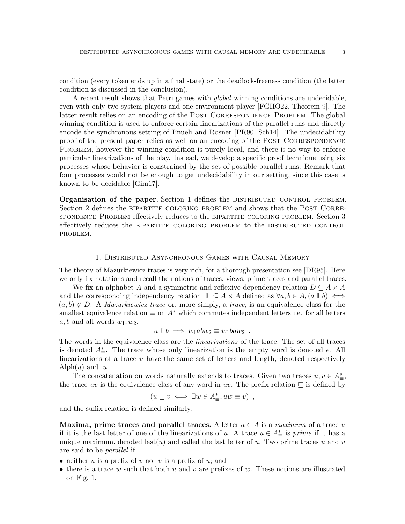condition (every token ends up in a final state) or the deadlock-freeness condition (the latter condition is discussed in the conclusion).

A recent result shows that Petri games with global winning conditions are undecidable, even with only two system players and one environment player [\[FGHO22,](#page-20-11) Theorem 9]. The latter result relies on an encoding of the POST CORRESPONDENCE PROBLEM. The global winning condition is used to enforce certain linearizations of the parallel runs and directly encode the synchronous setting of Pnueli and Rosner [\[PR90,](#page-21-2) [Sch14\]](#page-21-3). The undecidability proof of the present paper relies as well on an encoding of the Post Correspondence PROBLEM, however the winning condition is purely local, and there is no way to enforce particular linearizations of the play. Instead, we develop a specific proof technique using six processes whose behavior is constrained by the set of possible parallel runs. Remark that four processes would not be enough to get undecidability in our setting, since this case is known to be decidable [\[Gim17\]](#page-20-8).

Organisation of the paper. Section [1](#page-2-0) defines the DISTRIBUTED CONTROL PROBLEM. Section [2](#page-7-0) defines the BIPARTITE COLORING PROBLEM and shows that the POST CORREspondence Problem effectively reduces to the bipartite coloring problem. Section [3](#page-12-1) effectively reduces the bipartite coloring problem to the distributed control problem.

### 1. Distributed Asynchronous Games with Causal Memory

<span id="page-2-0"></span>The theory of Mazurkiewicz traces is very rich, for a thorough presentation see [\[DR95\]](#page-20-0). Here we only fix notations and recall the notions of traces, views, prime traces and parallel traces.

We fix an alphabet A and a symmetric and reflexive dependency relation  $D \subseteq A \times A$ and the corresponding independency relation  $\mathbb{I} \subseteq A \times A$  defined as  $\forall a, b \in A$ ,  $(a \mathbb{I} b) \iff$  $(a, b) \notin D$ . A *Mazurkiewicz trace* or, more simply, a *trace*, is an equivalence class for the smallest equivalence relation  $\equiv$  on  $A^*$  which commutes independent letters i.e. for all letters  $a, b$  and all words  $w_1, w_2$ ,

$$
a \rvert b \implies w_1abw_2 \equiv w_1baw_2
$$
.

The words in the equivalence class are the *linearizations* of the trace. The set of all traces is denoted  $A_{\equiv}^*$ . The trace whose only linearization is the empty word is denoted  $\epsilon$ . All linearizations of a trace u have the same set of letters and length, denoted respectively Alph $(u)$  and  $|u|$ .

The concatenation on words naturally extends to traces. Given two traces  $u, v \in A^*_{\equiv}$ , the trace uv is the equivalence class of any word in uv. The prefix relation  $\subseteq$  is defined by

$$
(u \sqsubseteq v \iff \exists w \in A^*_{\equiv}, uw \equiv v) ,
$$

and the suffix relation is defined similarly.

Maxima, prime traces and parallel traces. A letter  $a \in A$  is a maximum of a trace u if it is the last letter of one of the linearizations of u. A trace  $u \in A^*_{\equiv}$  is prime if it has a unique maximum, denoted last(u) and called the last letter of u. Two prime traces u and v are said to be parallel if

- neither u is a prefix of v nor v is a prefix of u; and
- there is a trace w such that both u and v are prefixes of w. These notions are illustrated on Fig. [1.](#page-3-0)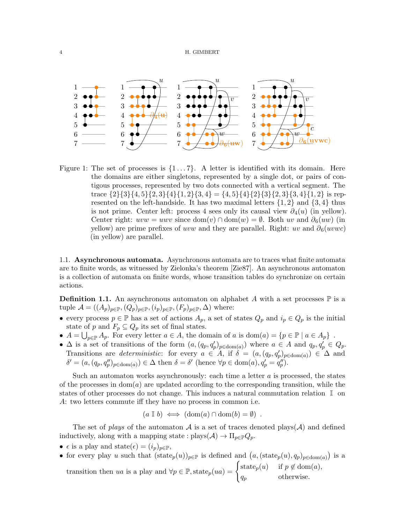

<span id="page-3-0"></span>Figure 1: The set of processes is  $\{1 \dots 7\}$ . A letter is identified with its domain. Here the domains are either singletons, represented by a single dot, or pairs of contigous processes, represented by two dots connected with a vertical segment. The trace  $\{2\}\{3\}\{4, 5\}\{2, 3\}\{4\}\{1, 2\}\{3, 4\} = \{4, 5\}\{4\}\{2\}\{3\}\{2, 3\}\{3, 4\}\{1, 2\}$  is represented on the left-handside. It has two maximal letters  $\{1, 2\}$  and  $\{3, 4\}$  thus is not prime. Center left: process 4 sees only its causal view  $\partial_4(u)$  (in yellow). Center right:  $uvw = uwv$  since  $dom(v) \cap dom(w) = \emptyset$ . Both uv and  $\partial_{\theta}(uw)$  (in yellow) are prime prefixes of uvw and they are parallel. Right: uv and  $\partial_6(uvwc)$ (in yellow) are parallel.

1.1. Asynchronous automata. Asynchronous automata are to traces what finite automata are to finite words, as witnessed by Zielonka's theorem [\[Zie87\]](#page-21-1). An asynchronous automaton is a collection of automata on finite words, whose transition tables do synchronize on certain actions.

**Definition 1.1.** An asynchronous automaton on alphabet A with a set processes  $\mathbb{P}$  is a tuple  $\mathcal{A} = ((A_p)_{p \in \mathbb{P}}, (Q_p)_{p \in \mathbb{P}}, (i_p)_{p \in \mathbb{P}}, (F_p)_{p \in \mathbb{P}}, \Delta)$  where:

- every process  $p \in \mathbb{P}$  has a set of actions  $A_p$ , a set of states  $Q_p$  and  $i_p \in Q_p$  is the initial state of p and  $F_p \subseteq Q_p$  its set of final states.
- $A = \bigcup_{p \in \mathbb{P}} A_p$ . For every letter  $a \in A$ , the domain of a is dom $(a) = \{p \in \mathbb{P} \mid a \in A_p\}$ .
- $\Delta$  is a set of transitions of the form  $(a,(q_p,q'_p)_{p \in \text{dom}(a)})$  where  $a \in A$  and  $q_p, q'_p \in Q_p$ . Transitions are *deterministic*: for every  $a \in A$ , if  $\delta = (a, (q_p, q_p')_{p \in \text{dom}(a)}) \in \Delta$  and  $\delta' = (a, (q_p, q_p'')_{p \in \text{dom}(a)}) \in \Delta$  then  $\delta = \delta'$  (hence  $\forall p \in \text{dom}(a), q_p' = q_p''$ ).

Such an automaton works asynchronously: each time a letter  $a$  is processed, the states of the processes in  $dom(a)$  are updated according to the corresponding transition, while the states of other processes do not change. This induces a natural commutation relation I on A: two letters commute iff they have no process in common i.e.

$$
(a \perp b) \iff (\text{dom}(a) \cap \text{dom}(b) = \emptyset) .
$$

The set of plays of the automaton A is a set of traces denoted plays(A) and defined inductively, along with a mapping state :  $\text{plays}(\mathcal{A}) \to \Pi_{p \in \mathbb{P}} Q_p$ .

- $\epsilon$  is a play and state $(\epsilon) = (i_p)_{p \in \mathbb{P}}$ ,
- for every play u such that  $(\text{state}_p(u))_{p \in \mathbb{P}}$  is defined and  $(a,(\text{state}_p(u), q_p)_{p \in \text{dom}(a)})$  is a

transition then ua is a play and  $\forall p \in \mathbb{P}$ , state $p(ua) = \begin{cases} \text{state}_p(u) & \text{if } p \notin \text{dom}(a), \\ 0 & \text{otherwise} \end{cases}$  $q_p$  otherwise.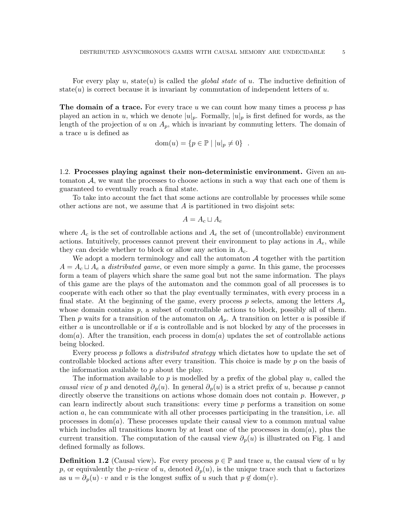For every play u, state(u) is called the *global state* of u. The inductive definition of state(u) is correct because it is invariant by commutation of independent letters of u.

**The domain of a trace.** For every trace u we can count how many times a process  $p$  has played an action in u, which we denote  $|u|_p$ . Formally,  $|u|_p$  is first defined for words, as the length of the projection of u on  $A_p$ , which is invariant by commuting letters. The domain of a trace u is defined as

$$
\text{dom}(u) = \{ p \in \mathbb{P} \mid |u|_p \neq 0 \} .
$$

1.2. Processes playing against their non-deterministic environment. Given an automaton  $A$ , we want the processes to choose actions in such a way that each one of them is guaranteed to eventually reach a final state.

To take into account the fact that some actions are controllable by processes while some other actions are not, we assume that  $A$  is partitioned in two disjoint sets:

$$
A = A_c \sqcup A_e
$$

where  $A_c$  is the set of controllable actions and  $A_e$  the set of (uncontrollable) environment actions. Intuitively, processes cannot prevent their environment to play actions in  $A_e$ , while they can decide whether to block or allow any action in  $A_c$ .

We adopt a modern terminology and call the automaton  $A$  together with the partition  $A = A_c \sqcup A_e$  a distributed game, or even more simply a game. In this game, the processes form a team of players which share the same goal but not the same information. The plays of this game are the plays of the automaton and the common goal of all processes is to cooperate with each other so that the play eventually terminates, with every process in a final state. At the beginning of the game, every process p selects, among the letters  $A_p$ whose domain contains  $p$ , a subset of controllable actions to block, possibly all of them. Then p waits for a transition of the automaton on  $A_p$ . A transition on letter a is possible if either  $a$  is uncontrollable or if  $a$  is controllable and is not blocked by any of the processes in  $dom(a)$ . After the transition, each process in  $dom(a)$  updates the set of controllable actions being blocked.

Every process p follows a *distributed strategy* which dictates how to update the set of controllable blocked actions after every transition. This choice is made by p on the basis of the information available to p about the play.

The information available to p is modelled by a prefix of the global play  $u$ , called the causal view of p and denoted  $\partial_p(u)$ . In general  $\partial_p(u)$  is a strict prefix of u, because p cannot directly observe the transitions on actions whose domain does not contain  $p$ . However,  $p$ can learn indirectly about such transitions: every time p performs a transition on some action a, he can communicate with all other processes participating in the transition, i.e. all processes in  $dom(a)$ . These processes update their causal view to a common mutual value which includes all transitions known by at least one of the processes in  $dom(a)$ , plus the current transition. The computation of the causal view  $\partial_p(u)$  is illustrated on Fig. [1](#page-3-0) and defined formally as follows.

**Definition 1.2** (Causal view). For every process  $p \in \mathbb{P}$  and trace u, the causal view of u by p, or equivalently the p-view of u, denoted  $\partial_p(u)$ , is the unique trace such that u factorizes as  $u = \partial_p(u) \cdot v$  and v is the longest suffix of u such that  $p \notin \text{dom}(v)$ .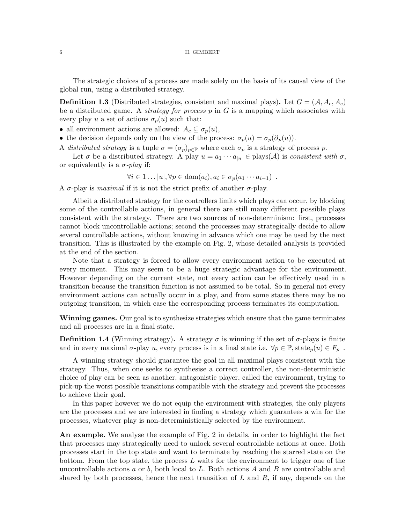The strategic choices of a process are made solely on the basis of its causal view of the global run, using a distributed strategy.

**Definition 1.3** (Distributed strategies, consistent and maximal plays). Let  $G = (\mathcal{A}, A_c, A_e)$ be a distributed game. A *strategy for process*  $p$  in  $G$  is a mapping which associates with every play u a set of actions  $\sigma_p(u)$  such that:

- all environment actions are allowed:  $A_e \subseteq \sigma_p(u)$ ,
- the decision depends only on the view of the process:  $\sigma_p(u) = \sigma_p(\partial_p(u))$ .
- A distributed strategy is a tuple  $\sigma = (\sigma_p)_{p \in \mathbb{P}}$  where each  $\sigma_p$  is a strategy of process p.

Let  $\sigma$  be a distributed strategy. A play  $u = a_1 \cdots a_{|u|} \in \text{plays}(\mathcal{A})$  is consistent with  $\sigma$ , or equivalently is a  $\sigma$ -play if:

 $\forall i \in 1 \ldots |u|, \forall p \in \text{dom}(a_i), a_i \in \sigma_p(a_1 \cdots a_{i-1})$ .

A  $\sigma$ -play is *maximal* if it is not the strict prefix of another  $\sigma$ -play.

Albeit a distributed strategy for the controllers limits which plays can occur, by blocking some of the controllable actions, in general there are still many different possible plays consistent with the strategy. There are two sources of non-determinism: first, processes cannot block uncontrollable actions; second the processes may strategically decide to allow several controllable actions, without knowing in advance which one may be used by the next transition. This is illustrated by the example on Fig. [2,](#page-6-0) whose detailed analysis is provided at the end of the section.

Note that a strategy is forced to allow every environment action to be executed at every moment. This may seem to be a huge strategic advantage for the environment. However depending on the current state, not every action can be effectively used in a transition because the transition function is not assumed to be total. So in general not every environment actions can actually occur in a play, and from some states there may be no outgoing transition, in which case the corresponding process terminates its computation.

Winning games. Our goal is to synthesize strategies which ensure that the game terminates and all processes are in a final state.

**Definition 1.4** (Winning strategy). A strategy  $\sigma$  is winning if the set of  $\sigma$ -plays is finite and in every maximal  $\sigma$ -play u, every process is in a final state i.e.  $\forall p \in \mathbb{P}$ , state $_p(u) \in F_p$ .

A winning strategy should guarantee the goal in all maximal plays consistent with the strategy. Thus, when one seeks to synthesise a correct controller, the non-deterministic choice of play can be seen as another, antagonistic player, called the environment, trying to pick-up the worst possible transitions compatible with the strategy and prevent the processes to achieve their goal.

In this paper however we do not equip the environment with strategies, the only players are the processes and we are interested in finding a strategy which guarantees a win for the processes, whatever play is non-deterministically selected by the environment.

An example. We analyse the example of Fig. [2](#page-6-0) in details, in order to highlight the fact that processes may strategically need to unlock several controllable actions at once. Both processes start in the top state and want to terminate by reaching the starred state on the bottom. From the top state, the process L waits for the environment to trigger one of the uncontrollable actions a or b, both local to L. Both actions A and B are controllable and shared by both processes, hence the next transition of  $L$  and  $R$ , if any, depends on the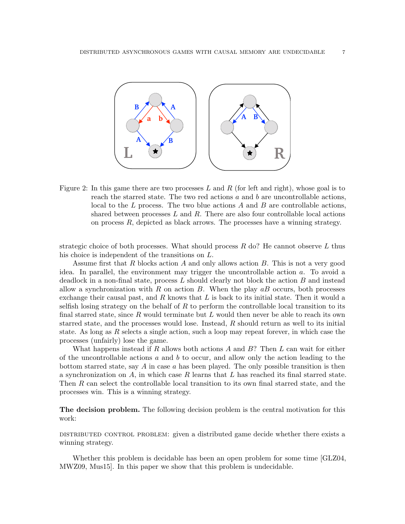

<span id="page-6-0"></span>Figure 2: In this game there are two processes  $L$  and  $R$  (for left and right), whose goal is to reach the starred state. The two red actions  $a$  and  $b$  are uncontrollable actions, local to the  $L$  process. The two blue actions  $A$  and  $B$  are controllable actions, shared between processes  $L$  and  $R$ . There are also four controllable local actions on process  $R$ , depicted as black arrows. The processes have a winning strategy.

strategic choice of both processes. What should process  $R$  do? He cannot observe L thus his choice is independent of the transitions on L.

Assume first that R blocks action A and only allows action B. This is not a very good idea. In parallel, the environment may trigger the uncontrollable action a. To avoid a deadlock in a non-final state, process  $L$  should clearly not block the action  $B$  and instead allow a synchronization with R on action B. When the play  $aB$  occurs, both processes exchange their causal past, and  $R$  knows that  $L$  is back to its initial state. Then it would a selfish losing strategy on the behalf of R to perform the controllable local transition to its final starred state, since  $R$  would terminate but  $L$  would then never be able to reach its own starred state, and the processes would lose. Instead, R should return as well to its initial state. As long as R selects a single action, such a loop may repeat forever, in which case the processes (unfairly) lose the game.

What happens instead if R allows both actions A and  $B$ ? Then L can wait for either of the uncontrollable actions a and b to occur, and allow only the action leading to the bottom starred state, say A in case a has been played. The only possible transition is then a synchronization on  $A$ , in which case  $R$  learns that  $L$  has reached its final starred state. Then R can select the controllable local transition to its own final starred state, and the processes win. This is a winning strategy.

**The decision problem.** The following decision problem is the central motivation for this work:

distributed control problem: given a distributed game decide whether there exists a winning strategy.

Whether this problem is decidable has been an open problem for some time [\[GLZ04,](#page-20-1) [MWZ09,](#page-20-2) [Mus15\]](#page-20-3). In this paper we show that this problem is undecidable.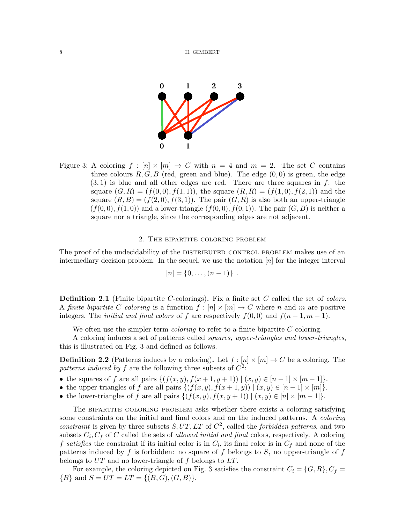

<span id="page-7-1"></span>Figure 3: A coloring  $f : [n] \times [m] \rightarrow C$  with  $n = 4$  and  $m = 2$ . The set C contains three colours  $R, G, B$  (red, green and blue). The edge  $(0, 0)$  is green, the edge  $(3, 1)$  is blue and all other edges are red. There are three squares in f: the square  $(G, R) = (f(0, 0), f(1, 1))$ , the square  $(R, R) = (f(1, 0), f(2, 1))$  and the square  $(R, B) = (f(2, 0), f(3, 1))$ . The pair  $(G, R)$  is also both an upper-triangle  $(f(0,0), f(1,0))$  and a lower-triangle  $(f(0,0), f(0,1))$ . The pair  $(G, B)$  is neither a square nor a triangle, since the corresponding edges are not adjacent.

# 2. The bipartite coloring problem

<span id="page-7-0"></span>The proof of the undecidability of the DISTRIBUTED CONTROL PROBLEM makes use of an intermediary decision problem: In the sequel, we use the notation  $[n]$  for the integer interval

$$
[n] = \{0, \ldots, (n-1)\} .
$$

**Definition 2.1** (Finite bipartite C-colorings). Fix a finite set C called the set of colors. A finite bipartite C-coloring is a function  $f : [n] \times [m] \to C$  where n and m are positive integers. The *initial and final colors* of f are respectively  $f(0, 0)$  and  $f(n - 1, m - 1)$ .

We often use the simpler term *coloring* to refer to a finite bipartite C-coloring.

A coloring induces a set of patterns called squares, upper-triangles and lower-triangles, this is illustrated on Fig. [3](#page-7-1) and defined as follows.

**Definition 2.2** (Patterns induces by a coloring). Let  $f : [n] \times [m] \rightarrow C$  be a coloring. The patterns induced by f are the following three subsets of  $C^2$ :

- the squares of f are all pairs  $\{(f(x, y), f(x + 1, y + 1)) | (x, y) \in [n 1] \times [m 1]\}.$
- the upper-triangles of f are all pairs  $\{(f(x,y), f(x+1,y)) \mid (x,y) \in [n-1] \times [m]\}.$
- the lower-triangles of f are all pairs  $\{ (f(x, y), f(x, y + 1)) \mid (x, y) \in [n] \times [m-1] \}.$

The bipartite coloring problem asks whether there exists a coloring satisfying some constraints on the initial and final colors and on the induced patterns. A *coloring* constraint is given by three subsets  $S, UT, LT$  of  $C<sup>2</sup>$ , called the forbidden patterns, and two subsets  $C_i$ ,  $C_f$  of C called the sets of *allowed initial and final* colors, respectively. A coloring f satisfies the constraint if its initial color is in  $C_i$ , its final color is in  $C_f$  and none of the patterns induced by f is forbidden: no square of f belongs to S, no upper-triangle of f belongs to  $UT$  and no lower-triangle of f belongs to  $LT$ .

For example, the coloring depicted on Fig. [3](#page-7-1) satisfies the constraint  $C_i = \{G, R\}, C_f =$  ${B}$  and  $S = UT = LT = {(B, G), (G, B)}.$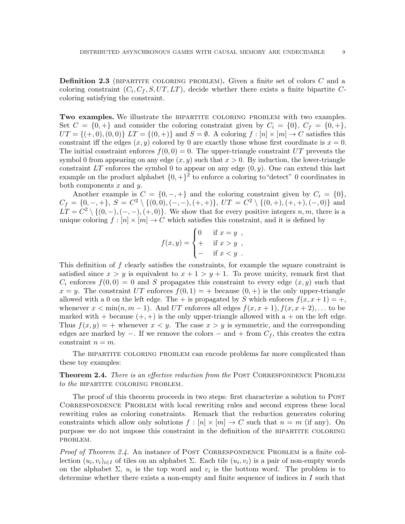**Definition 2.3** (BIPARTITE COLORING PROBLEM). Given a finite set of colors  $C$  and a coloring constraint  $(C_i, C_f, S, UT, LT)$ , decide whether there exists a finite bipartite Ccoloring satisfying the constraint.

Two examples. We illustrate the BIPARTITE COLORING PROBLEM with two examples. Set  $C = \{0, +\}$  and consider the coloring constraint given by  $C_i = \{0\}, C_f = \{0, +\},$  $UT = \{(+,0), (0,0)\}\ LT = \{(0, +)\}\$ and  $S = \emptyset$ . A coloring  $f : [n] \times [m] \rightarrow C$  satisfies this constraint iff the edges  $(x, y)$  colored by 0 are exactly those whose first coordinate is  $x = 0$ . The initial constraint enforces  $f(0, 0) = 0$ . The upper-triangle constraint UT prevents the symbol 0 from appearing on any edge  $(x, y)$  such that  $x > 0$ . By induction, the lower-triangle constraint  $LT$  enforces the symbol 0 to appear on any edge  $(0, y)$ . One can extend this last example on the product alphabet  $\{0, +\}^2$  to enforce a coloring to "detect" 0 coordinates in both components  $x$  and  $y$ .

Another example is  $C = \{0, -, +\}$  and the coloring constraint given by  $C_i = \{0\}$ ,  $C_f = \{0, -, +\}, S = C^2 \setminus \{(0, 0), (-, -), (+, +)\}, UT = C^2 \setminus \{(0, +), (+, +), (-, 0)\}$  and  $LT = C^2 \setminus \{(0, -), (-, -), (+, 0)\}.$  We show that for every positive integers n, m, there is a unique coloring  $f : [n] \times [m] \to C$  which satisfies this constraint, and it is defined by

$$
f(x,y) = \begin{cases} 0 & \text{if } x = y, \\ + & \text{if } x > y, \\ - & \text{if } x < y. \end{cases}
$$

This definition of f clearly satisfies the constraints, for example the square constraint is satisfied since  $x > y$  is equivalent to  $x + 1 > y + 1$ . To prove unicity, remark first that  $C_i$  enforces  $f(0,0) = 0$  and S propagates this constraint to every edge  $(x, y)$  such that  $x = y$ . The constraint UT enforces  $f(0, 1) = +$  because  $(0, +)$  is the only upper-triangle allowed with a 0 on the left edge. The + is propagated by S which enforces  $f(x, x + 1) = +$ , whenever  $x < \min(n, m - 1)$ . And UT enforces all edges  $f(x, x + 1), f(x, x + 2), \dots$  to be marked with  $+$  because  $(+, +)$  is the only upper-triangle allowed with  $a +$  on the left edge. Thus  $f(x, y) = +$  whenever  $x < y$ . The case  $x > y$  is symmetric, and the corresponding edges are marked by  $-$ . If we remove the colors  $-$  and  $+$  from  $C_f$ , this creates the extra constraint  $n = m$ .

The bipartite coloring problem can encode problems far more complicated than these toy examples:

<span id="page-8-0"></span>**Theorem 2.4.** There is an effective reduction from the POST CORRESPONDENCE PROBLEM to the BIPARTITE COLORING PROBLEM.

The proof of this theorem proceeds in two steps: first characterize a solution to POST CORRESPONDENCE PROBLEM with local rewriting rules and second express these local rewriting rules as coloring constraints. Remark that the reduction generates coloring constraints which allow only solutions  $f : [n] \times [m] \rightarrow C$  such that  $n = m$  (if any). On purpose we do not impose this constraint in the definition of the bipartite coloring problem.

*Proof of Theorem [2.4.](#page-8-0)* An instance of POST CORRESPONDENCE PROBLEM is a finite collection  $(u_i, v_i)_{i \in I}$  of tiles on an alphabet  $\Sigma$ . Each tile  $(u_i, v_i)$  is a pair of non-empty words on the alphabet  $\Sigma$ ,  $u_i$  is the top word and  $v_i$  is the bottom word. The problem is to determine whether there exists a non-empty and finite sequence of indices in I such that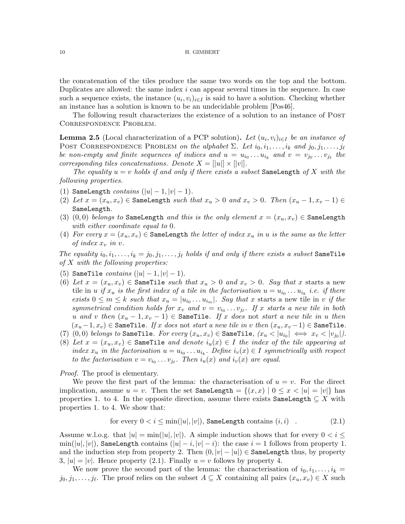the concatenation of the tiles produce the same two words on the top and the bottom. Duplicates are allowed: the same index  $i$  can appear several times in the sequence. In case such a sequence exists, the instance  $(u_i, v_i)_{i \in I}$  is said to have a solution. Checking whether an instance has a solution is known to be an undecidable problem [\[Pos46\]](#page-20-12).

The following result characterizes the existence of a solution to an instance of POST Correspondence Problem.

<span id="page-9-1"></span>**Lemma 2.5** (Local characterization of a PCP solution). Let  $(u_i, v_i)_{i \in I}$  be an instance of POST CORRESPONDENCE PROBLEM on the alphabet  $\Sigma$ . Let  $i_0, i_1, \ldots, i_k$  and  $j_0, j_1, \ldots, j_\ell$ be non-empty and finite sequences of indices and  $u = u_{i_0} \ldots u_{i_k}$  and  $v = v_{j_0} \ldots v_{j_\ell}$  the corresponding tiles concatenations. Denote  $X = ||u|| \times ||v||$ .

The equality  $u = v$  holds if and only if there exists a subset SameLength of X with the following properties.

- (1) SameLength  $contains (|u|-1, |v|-1)$ .
- (2) Let  $x = (x_u, x_v) \in \mathsf{SameLength}$  such that  $x_u > 0$  and  $x_v > 0$ . Then  $(x_u 1, x_v 1) \in$ SameLength.
- (3) (0,0) belongs to SameLength and this is the only element  $x = (x_u, x_v) \in$  SameLength with either coordinate equal to 0.
- (4) For every  $x = (x_u, x_v) \in \mathsf{SameLength}$  the letter of index  $x_u$  in u is the same as the letter of index  $x_v$  in v.

The equality  $i_0, i_1, \ldots, i_k = j_0, j_1, \ldots, j_\ell$  holds if and only if there exists a subset SameTile of X with the following properties:

- (5) SameTile *contains*  $(|u| 1, |v| 1)$ .
- (6) Let  $x = (x_u, x_v) \in \mathsf{SameTile}$  such that  $x_u > 0$  and  $x_v > 0$ . Say that x starts a new tile in u if  $x_u$  is the first index of a tile in the factorisation  $u = u_{i_0} \dots u_{i_k}$  i.e. if there exists  $0 \leq m \leq k$  such that  $x_u = |u_{i_0} \dots u_{i_m}|$ . Say that x starts a new tile in v if the symmetrical condition holds for  $x_v$  and  $v = v_{i_0} \ldots v_{j_\ell}$ . If x starts a new tile in both u and v then  $(x_u - 1, x_v - 1) \in \mathsf{SameFile}$ . If x does not start a new tile in u then  $(x_u - 1, x_v) \in \texttt{SameTile}.$  If x does not start a new tile in v then  $(x_u, x_v - 1) \in \texttt{SameFile}.$
- (7) (0,0) belongs to SameTile. For every  $(x_u, x_v) \in$  SameTile,  $(x_u < |u_{i_0}| \iff x_v < |v_{j_0}|)$ .
- (8) Let  $x = (x_u, x_v) \in \mathsf{SameTile}$  and denote  $i_u(x) \in I$  the index of the tile appearing at index  $x_u$  in the factorisation  $u = u_{i_0} \ldots u_{i_k}$ . Define  $i_v(x) \in I$  symmetrically with respect to the factorisation  $v = v_{i_0} \ldots v_{j_\ell}$ . Then  $i_u(x)$  and  $i_v(x)$  are equal.

*Proof.* The proof is elementary.

We prove the first part of the lemma: the characterisation of  $u = v$ . For the direct implication, assume  $u = v$ . Then the set SameLength  $= \{(x, x) | 0 \le x \le |u| = |v|\}$  has properties 1. to 4. In the opposite direction, assume there exists SameLength  $\subseteq X$  with properties 1. to 4. We show that:

<span id="page-9-0"></span>for every 
$$
0 < i \leq \min(|u|, |v|)
$$
, **SameLength** contains  $(i, i)$ .  $(2.1)$ 

Assume w.l.o.g. that  $|u| = \min(|u|, |v|)$ . A simple induction shows that for every  $0 < i \leq$  $\min(|u|, |v|)$ , SameLength contains  $(|u| - i, |v| - i)$ : the case  $i = 1$  follows from property 1. and the induction step from property 2. Then  $(0, |v| - |u|) \in$  SameLength thus, by property 3,  $|u| = |v|$ . Hence property [\(2.1\)](#page-9-0). Finally  $u = v$  follows by property 4.

We now prove the second part of the lemma: the characterisation of  $i_0, i_1, \ldots, i_k =$  $j_0, j_1, \ldots, j_\ell$ . The proof relies on the subset  $A \subseteq X$  containing all pairs  $(x_u, x_v) \in X$  such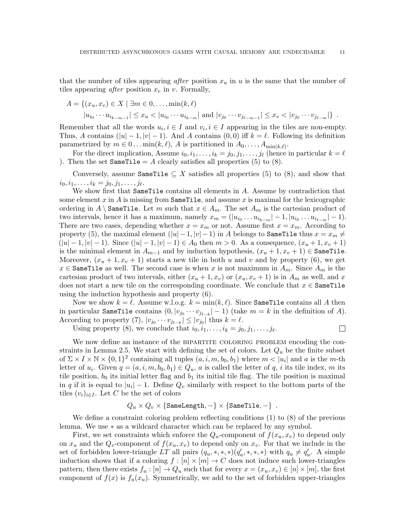that the number of tiles appearing after position  $x<sub>u</sub>$  in u is the same that the number of tiles appearing *after* position  $x_v$  in v. Formally,

$$
A = \{(x_u, x_v) \in X \mid \exists m \in 0, ..., \min(k, \ell) | u_{i_0} \cdots u_{i_{k-m-1}} | \leq x_u < |u_{i_0} \cdots u_{i_{k-m}}| \text{ and } |v_{j_0} \cdots v_{j_{\ell-m-1}}| \leq x_v < |v_{j_0} \cdots v_{j_{\ell-m}}| \}.
$$

Remember that all the words  $u_i, i \in I$  and  $v_i, i \in I$  appearing in the tiles are non-empty. Thus, A contains  $(|u| - 1, |v| - 1)$ . And A contains  $(0, 0)$  iff  $k = \ell$ . Following its definition parametrized by  $m \in 0 \ldots \min(k, \ell), A$  is partitioned in  $A_0, \ldots, A_{\min(k, \ell)}$ .

For the direct implication, Assume  $i_0, i_1, \ldots, i_k = j_0, j_1, \ldots, j_\ell$  (hence in particular  $k = \ell$ ). Then the set SameTile = A clearly satisfies all properties (5) to (8).

Conversely, assume SameTile  $\subseteq X$  satisfies all properties (5) to (8), and show that  $i_0, i_1, \ldots, i_k = j_0, j_1, \ldots, j_\ell.$ 

We show first that **SameTile** contains all elements in A. Assume by contradiction that some element x in A is missing from  $\texttt{SameTile}$ , and assume x is maximal for the lexicographic ordering in A \ SameTile. Let m such that  $x \in A_m$ . The set  $A_m$  is the cartesian product of two intervals, hence it has a maximum, namely  $x_m = (|u_{i_0} \dots u_{i_{k-m}}| - 1, |u_{i_0} \dots u_{i_{\ell-m}}| - 1).$ There are two cases, depending whether  $x = x_m$  or not. Assume first  $x = x_m$ . According to property (5), the maximal element  $(|u| - 1, |v| - 1)$  in A belongs to SameTile thus  $x = x_m \neq$  $(|u| - 1, |v| - 1)$ . Since  $(|u| - 1, |v| - 1) \in A_0$  then  $m > 0$ . As a consequence,  $(x_u + 1, x_v + 1)$ is the minimal element in  $A_{m-1}$  and by induction hypothesis,  $(x_u + 1, x_v + 1) \in \text{SameTile.}$ Moreover,  $(x_u + 1, x_v + 1)$  starts a new tile in both u and v and by property (6), we get  $x \in \text{SameFile}$  as well. The second case is when x is not maximum in  $A_m$ . Since  $A_m$  is the cartesian product of two intervals, either  $(x_u + 1, x_v)$  or  $(x_u, x_v + 1)$  is in  $A_m$  as well, and x does not start a new tile on the corresponding coordinate. We conclude that  $x \in \text{SameFile}$ using the induction hypothesis and property (6).

Now we show  $k = \ell$ . Assume w.l.o.g.  $k = \min(k, \ell)$ . Since SameTile contains all A then in particular SameTile contains  $(0, |v_{j_0} \cdots v_{j_{\ell-k}}| - 1)$  (take  $m = k$  in the definition of A). According to property (7),  $|v_{j_0} \cdots v_{j_{\ell-k}}| \leq |v_{j_0}|$  thus  $k = \ell$ .

Using property (8), we conclude that  $i_0, i_1, \ldots, i_k = j_0, j_1, \ldots, j_\ell$ .  $\Box$ 

We now define an instance of the BIPARTITE COLORING PROBLEM encoding the con-straints in Lemma [2.5.](#page-9-1) We start with defining the set of colors. Let  $Q_u$  be the finite subset of  $\Sigma \times I \times \mathbb{N} \times \{0,1\}^2$  containing all tuples  $(a, i, m, b_0, b_1)$  where  $m < |u_i|$  and a is the m-th letter of  $u_i$ . Given  $q = (a, i, m, b_0, b_1) \in Q_u$ , a is called the letter of q, i its tile index, m its tile position,  $b_0$  its initial letter flag and  $b_1$  its initial tile flag. The tile position is maximal in q if it is equal to  $|u_i| - 1$ . Define  $Q_v$  similarly with respect to the bottom parts of the tiles  $(v_i)_{i\in I}$ . Let C be the set of colors

$$
Q_u\times Q_v\times \{\texttt{SameLength}, -\}\times \{\texttt{SameFile}, -\}\enspace.
$$

We define a constraint coloring problem reflecting conditions (1) to (8) of the previous lemma. We use ∗ as a wildcard character which can be replaced by any symbol.

First, we set constraints which enforce the  $Q_u$ -component of  $f(x_u, x_v)$  to depend only on  $x_u$  and the  $Q_v$ -component of  $f(x_u, x_v)$  to depend only on  $x_v$ . For that we include in the set of forbidden lower-triangle LT all pairs  $(q_u, *, *, *)(q_u', *, *, *)$  with  $q_u \neq q_u'$ . A simple induction shows that if a coloring  $f : [n] \times [m] \to C$  does not induce such lower-triangles pattern, then there exists  $f_u : [n] \to Q_u$  such that for every  $x = (x_u, x_v) \in [n] \times [m]$ , the first component of  $f(x)$  is  $f_u(x_u)$ . Symmetrically, we add to the set of forbidden upper-triangles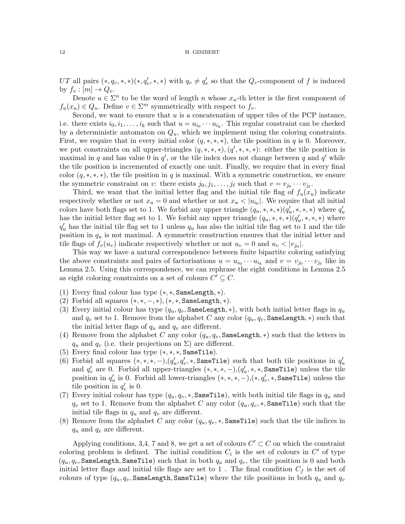UT all pairs  $(*, q_v, *, *)(*, q_v', *, *)$  with  $q_v \neq q_v'$  so that the  $Q_v$ -component of f is induced by  $f_v : [m] \to Q_v$ .

Denote  $u \in \Sigma^n$  to be the word of length n whose  $x_u$ -th letter is the first component of  $f_u(x_u) \in Q_u$ . Define  $v \in \Sigma^m$  symmetrically with respect to  $f_v$ .

Second, we want to ensure that  $u$  is a concatenation of upper tiles of the PCP instance, i.e. there exists  $i_0, i_1, \ldots, i_k$  such that  $u = u_{i_0} \cdots u_{i_k}$ . This regular constraint can be checked by a deterministic automaton on  $Q_u$ , which we implement using the coloring constraints. First, we require that in every initial color  $(q, \ast, \ast, \ast)$ , the tile position in q is 0. Moreover, we put constraints on all upper-triangles  $(q, *, *, *,), (q', *, *, *):$  either the tile position is maximal in q and has value 0 in  $q'$ , or the tile index does not change between q and  $q'$  while the tile position is incremented of exactly one unit. Finally, we require that in every final color  $(q, *, *, *)$ , the tile position in q is maximal. With a symmetric construction, we ensure the symmetric constraint on v: there exists  $j_0, j_1, \ldots, j_\ell$  such that  $v = v_{j_0} \cdots v_{j_\ell}$ .

Third, we want that the initial letter flag and the initial tile flag of  $f_u(x_u)$  indicate respectively whether or not  $x_u = 0$  and whether or not  $x_u < |u_{i_0}|$ . We require that all initial colors have both flags set to 1. We forbid any upper triangle  $(q_u, *, *, *)(q_u', *, *, *)$  where  $q_u'$ has the initial letter flag set to 1. We forbid any upper triangle  $(q_u, *, *, *)(q_u', *, *, *)$  where  $q'_u$  has the initial tile flag set to 1 unless  $q_u$  has also the initial tile flag set to 1 and the tile position in  $q_u$  is not maximal. A symmetric construction ensures that the initial letter and tile flags of  $f_v(u_v)$  indicate respectively whether or not  $u_v = 0$  and  $u_v < |v_{j_0}|$ .

This way we have a natural correspondence between finite bipartite coloring satisfying the above constraints and pairs of factorisations  $u = u_{i_0} \cdots u_{i_k}$  and  $v = v_{j_0} \cdots v_{j_\ell}$  like in Lemma [2.5.](#page-9-1) Using this correspondence, we can rephrase the eight conditions in Lemma [2.5](#page-9-1) as eight coloring constraints on a set of colours  $C' \subseteq C$ .

- (1) Every final colour has type (∗, ∗, SameLength, ∗).
- (2) Forbid all squares  $(*,*,-,*),(*,*,\texttt{SameLength},*)$ .
- (3) Every initial colour has type  $(q_u, q_v, \texttt{SameLength}, *)$ , with both initial letter flags in  $q_u$ and  $q_v$  set to 1. Remove from the alphabet C any color  $(q_u, q_v, \texttt{SameLength}, *)$  such that the initial letter flags of  $q_u$  and  $q_v$  are different.
- (4) Remove from the alphabet C any color  $(q_u, q_v, \texttt{SameLength}, *)$  such that the letters in  $q_u$  and  $q_v$  (i.e. their projections on  $\Sigma$ ) are different.
- (5) Every final colour has type (∗, ∗, ∗, SameTile).
- (6) Forbid all squares  $(*,*,*,-), (q_u', q_v',*, \texttt{SameFile})$  such that both tile positions in  $q_u'$ and  $q'_v$  are 0. Forbid all upper-triangles  $(*,*,*,-), (q'_u,*,*,\texttt{SameFile})$  unless the tile position in  $q_u'$  is 0. Forbid all lower-triangles  $(*,*,*,-),(*, q_v',*, \texttt{SameFile})$  unless the tile position in  $q'_v$  is 0.
- (7) Every initial colour has type  $(q_u, q_v, *, \texttt{SameTile})$ , with both initial tile flags in  $q_u$  and  $q_v$  set to 1. Remove from the alphabet C any color  $(q_u, q_v, \ast, \texttt{SameFile})$  such that the initial tile flags in  $q_u$  and  $q_v$  are different.
- (8) Remove from the alphabet C any color  $(q_u, q_v, \ast, \texttt{SameFile})$  such that the tile indices in  $q_u$  and  $q_v$  are different.

Applying conditions, 3,4, 7 and 8, we get a set of colours  $C' \subset C$  on which the constraint coloring problem is defined. The initial condition  $C_i$  is the set of colours in  $C'$  of type  $(q_u, q_v, \texttt{SameLength}, \texttt{SameTile})$  such that in both  $q_u$  and  $q_v$ , the tile position is 0 and both initial letter flags and initial tile flags are set to 1. The final condition  $C_f$  is the set of colours of type  $(q_u, q_v)$ , SameLength, SameTile) where the tile positions in both  $q_u$  and  $q_v$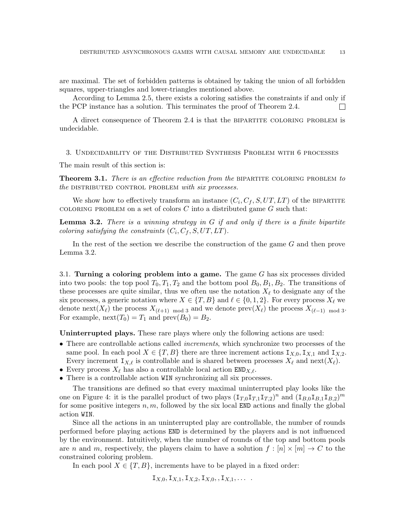are maximal. The set of forbidden patterns is obtained by taking the union of all forbidden squares, upper-triangles and lower-triangles mentioned above.

According to Lemma [2.5,](#page-9-1) there exists a coloring satisfies the constraints if and only if the PCP instance has a solution. This terminates the proof of Theorem [2.4.](#page-8-0)  $\mathbf{L}$ 

A direct consequence of Theorem [2.4](#page-8-0) is that the bipartite coloring problem is undecidable.

<span id="page-12-1"></span>3. Undecidability of the Distributed Synthesis Problem with 6 processes

The main result of this section is:

<span id="page-12-0"></span>**Theorem 3.1.** There is an effective reduction from the BIPARTITE COLORING PROBLEM to the DISTRIBUTED CONTROL PROBLEM with six processes.

We show how to effectively transform an instance  $(C_i, C_f, S, UT, LT)$  of the BIPARTITE COLORING PROBLEM on a set of colors  $C$  into a distributed game  $G$  such that:

<span id="page-12-2"></span>**Lemma 3.2.** There is a winning strategy in  $G$  if and only if there is a finite bipartite coloring satisfying the constraints  $(C_i, C_f, S, UT, LT)$ .

In the rest of the section we describe the construction of the game G and then prove Lemma [3.2.](#page-12-2)

3.1. Turning a coloring problem into a game. The game  $G$  has six processes divided into two pools: the top pool  $T_0, T_1, T_2$  and the bottom pool  $B_0, B_1, B_2$ . The transitions of these processes are quite similar, thus we often use the notation  $X_\ell$  to designate any of the six processes, a generic notation where  $X \in \{T, B\}$  and  $\ell \in \{0, 1, 2\}$ . For every process  $X_{\ell}$  we denote next( $X_{\ell}$ ) the process  $X_{(\ell+1) \mod 3}$  and we denote prev( $X_{\ell}$ ) the process  $X_{(\ell-1) \mod 3}$ . For example,  $\text{next}(T_0) = T_1$  and  $\text{prev}(B_0) = B_2$ .

Uninterrupted plays. These rare plays where only the following actions are used:

- There are controllable actions called *increments*, which synchronize two processes of the same pool. In each pool  $X \in \{T, B\}$  there are three increment actions  $I_{X,0}, I_{X,1}$  and  $I_{X,2}$ . Every increment  $I_{X,\ell}$  is controllable and is shared between processes  $X_{\ell}$  and next $(X_{\ell})$ .
- Every process  $X_{\ell}$  has also a controllable local action END $_{X,\ell}$ .
- There is a controllable action WIN synchronizing all six processes.

The transitions are defined so that every maximal uninterrupted play looks like the one on Figure [4:](#page-13-0) it is the parallel product of two plays  $(\mathbf{I}_{T,0}\mathbf{I}_{T,1}\mathbf{I}_{T,2})^n$  and  $(\mathbf{I}_{B,0}\mathbf{I}_{B,1}\mathbf{I}_{B,2})^m$ for some positive integers  $n, m$ , followed by the six local END actions and finally the global action WIN.

Since all the actions in an uninterrupted play are controllable, the number of rounds performed before playing actions END is determined by the players and is not influenced by the environment. Intuitively, when the number of rounds of the top and bottom pools are n and m, respectively, the players claim to have a solution  $f : [n] \times [m] \to C$  to the constrained coloring problem.

In each pool  $X \in \{T, B\}$ , increments have to be played in a fixed order:

 $I_{X,0}, I_{X,1}, I_{X,2}, I_{X,0}, I_{X,1}, \ldots$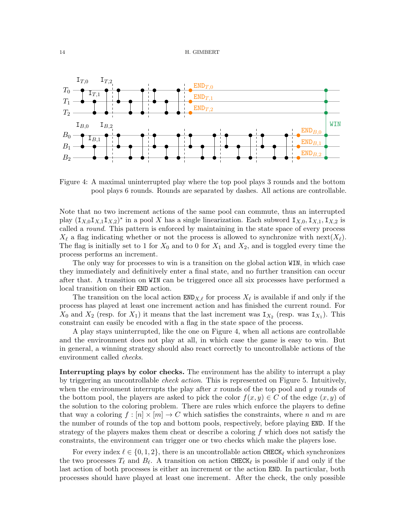

<span id="page-13-0"></span>Figure 4: A maximal uninterrupted play where the top pool plays 3 rounds and the bottom pool plays 6 rounds. Rounds are separated by dashes. All actions are controllable.

Note that no two increment actions of the same pool can commute, thus an interrupted play  $(I_{X,0}I_{X,1}I_{X,2})^*$  in a pool X has a single linearization. Each subword  $I_{X,0}, I_{X,1}, I_{X,2}$  is called a round. This pattern is enforced by maintaining in the state space of every process  $X_{\ell}$  a flag indicating whether or not the process is allowed to synchronize with next $(X_{\ell})$ . The flag is initially set to 1 for  $X_0$  and to 0 for  $X_1$  and  $X_2$ , and is toggled every time the process performs an increment.

The only way for processes to win is a transition on the global action WIN, in which case they immediately and definitively enter a final state, and no further transition can occur after that. A transition on WIN can be triggered once all six processes have performed a local transition on their END action.

The transition on the local action  $\text{END}_{X,\ell}$  for process  $X_{\ell}$  is available if and only if the process has played at least one increment action and has finished the current round. For  $X_0$  and  $X_2$  (resp. for  $X_1$ ) it means that the last increment was  $I_{X_2}$  (resp. was  $I_{X_1}$ ). This constraint can easily be encoded with a flag in the state space of the process.

A play stays uninterrupted, like the one on Figure [4,](#page-13-0) when all actions are controllable and the environment does not play at all, in which case the game is easy to win. But in general, a winning strategy should also react correctly to uncontrollable actions of the environment called checks.

Interrupting plays by color checks. The environment has the ability to interrupt a play by triggering an uncontrollable check action. This is represented on Figure [5.](#page-14-0) Intuitively, when the environment interrupts the play after  $x$  rounds of the top pool and  $y$  rounds of the bottom pool, the players are asked to pick the color  $f(x, y) \in C$  of the edge  $(x, y)$  of the solution to the coloring problem. There are rules which enforce the players to define that way a coloring  $f : [n] \times [m] \rightarrow C$  which satisfies the constraints, where n and m are the number of rounds of the top and bottom pools, respectively, before playing END. If the strategy of the players makes them cheat or describe a coloring  $f$  which does not satisfy the constraints, the environment can trigger one or two checks which make the players lose.

For every index  $\ell \in \{0, 1, 2\}$ , there is an uncontrollable action CHECK<sub> $\ell$ </sub> which synchronizes the two processes  $T_\ell$  and  $B_\ell$ . A transition on action CHECK<sub> $\ell$ </sub> is possible if and only if the last action of both processes is either an increment or the action END. In particular, both processes should have played at least one increment. After the check, the only possible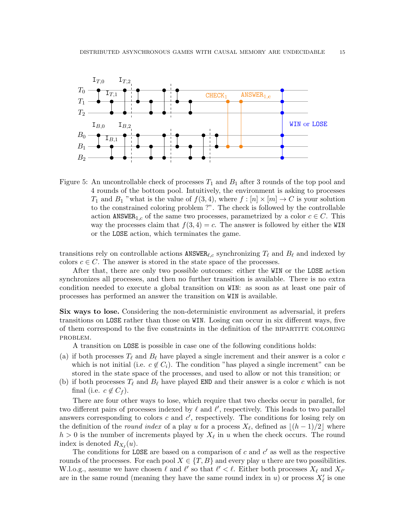

<span id="page-14-0"></span>Figure 5: An uncontrollable check of processes  $T_1$  and  $B_1$  after 3 rounds of the top pool and 4 rounds of the bottom pool. Intuitively, the environment is asking to processes  $T_1$  and  $B_1$  "what is the value of  $f(3, 4)$ , where  $f : [n] \times [m] \rightarrow C$  is your solution to the constrained coloring problem ?". The check is followed by the controllable action ANSWER<sub>1,c</sub> of the same two processes, parametrized by a color  $c \in C$ . This way the processes claim that  $f(3, 4) = c$ . The answer is followed by either the WIN or the LOSE action, which terminates the game.

transitions rely on controllable actions  $ANSWER_{\ell,c}$  synchronizing  $T_{\ell}$  and  $B_{\ell}$  and indexed by colors  $c \in C$ . The answer is stored in the state space of the processes.

After that, there are only two possible outcomes: either the WIN or the LOSE action synchronizes all processes, and then no further transition is available. There is no extra condition needed to execute a global transition on WIN: as soon as at least one pair of processes has performed an answer the transition on WIN is available.

Six ways to lose. Considering the non-deterministic environment as adversarial, it prefers transitions on LOSE rather than those on WIN. Losing can occur in six different ways, five of them correspond to the five constraints in the definition of the bipartite coloring problem.

A transition on LOSE is possible in case one of the following conditions holds:

- (a) if both processes  $T_\ell$  and  $B_\ell$  have played a single increment and their answer is a color c which is not initial (i.e.  $c \notin C_i$ ). The condition "has played a single increment" can be stored in the state space of the processes, and used to allow or not this transition; or
- (b) if both processes  $T_\ell$  and  $B_\ell$  have played END and their answer is a color c which is not final (i.e.  $c \notin C_f$ ).

There are four other ways to lose, which require that two checks occur in parallel, for two different pairs of processes indexed by  $\ell$  and  $\ell'$ , respectively. This leads to two parallel answers corresponding to colors  $c$  and  $c'$ , respectively. The conditions for losing rely on the definition of the *round index* of a play u for a process  $X_{\ell}$ , defined as  $\lfloor (h - 1)/2 \rfloor$  where  $h > 0$  is the number of increments played by  $X_{\ell}$  in u when the check occurs. The round index is denoted  $R_{X_{\ell}}(u)$ .

The conditions for LOSE are based on a comparison of  $c$  and  $c'$  as well as the respective rounds of the processes. For each pool  $X \in \{T, B\}$  and every play u there are two possibilities. W.l.o.g., assume we have chosen  $\ell$  and  $\ell'$  so that  $\ell' < \ell$ . Either both processes  $X_{\ell}$  and  $X_{\ell'}$ are in the same round (meaning they have the same round index in  $u$ ) or process  $X'_{\ell}$  is one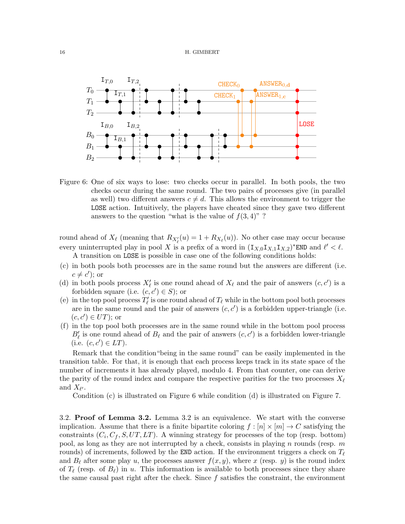

<span id="page-15-0"></span>Figure 6: One of six ways to lose: two checks occur in parallel. In both pools, the two checks occur during the same round. The two pairs of processes give (in parallel as well) two different answers  $c \neq d$ . This allows the environment to trigger the LOSE action. Intuitively, the players have cheated since they gave two different answers to the question "what is the value of  $f(3, 4)$ "?

round ahead of  $X_{\ell}$  (meaning that  $R_{X'_{\ell}}(u) = 1 + R_{X_{\ell}}(u)$ ). No other case may occur because every uninterrupted play in pool X is a prefix of a word in  $(\mathbf{I}_{X,0}\mathbf{I}_{X,1}\mathbf{I}_{X,2})^*$ END and  $\ell' < \ell$ .

A transition on LOSE is possible in case one of the following conditions holds:

- (c) in both pools both processes are in the same round but the answers are different (i.e.  $c \neq c'$ ); or
- (d) in both pools process  $X'_\ell$  is one round ahead of  $X_\ell$  and the pair of answers  $(c, c')$  is a forbidden square (i.e.  $(c, c') \in S$ ); or
- (e) in the top pool process  $T'_\ell$  is one round ahead of  $T_\ell$  while in the bottom pool both processes are in the same round and the pair of answers  $(c, c')$  is a forbidden upper-triangle (i.e.  $(c, c') \in UT$ ; or
- (f) in the top pool both processes are in the same round while in the bottom pool process  $B'_\ell$  is one round ahead of  $B_\ell$  and the pair of answers  $(c, c')$  is a forbidden lower-triangle (i.e.  $(c, c') \in LT$ ).

Remark that the condition"being in the same round" can be easily implemented in the transition table. For that, it is enough that each process keeps track in its state space of the number of increments it has already played, modulo 4. From that counter, one can derive the parity of the round index and compare the respective parities for the two processes  $X_{\ell}$ and  $X_{\ell'}$ .

Condition (c) is illustrated on Figure [6](#page-15-0) while condition (d) is illustrated on Figure [7.](#page-16-0)

3.2. Proof of Lemma [3.2.](#page-12-2) Lemma [3.2](#page-12-2) is an equivalence. We start with the converse implication. Assume that there is a finite bipartite coloring  $f : [n] \times [m] \rightarrow C$  satisfying the constraints  $(C_i, C_f, S, UT, LT)$ . A winning strategy for processes of the top (resp. bottom) pool, as long as they are not interrupted by a check, consists in playing  $n$  rounds (resp.  $m$ rounds) of increments, followed by the END action. If the environment triggers a check on  $T_{\ell}$ and  $B_\ell$  after some play u, the processes answer  $f(x, y)$ , where x (resp. y) is the round index of  $T_\ell$  (resp. of  $B_\ell$ ) in u. This information is available to both processes since they share the same causal past right after the check. Since f satisfies the constraint, the environment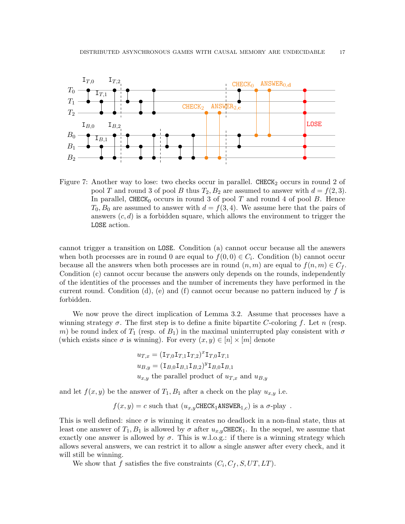

<span id="page-16-0"></span>Figure 7: Another way to lose: two checks occur in parallel. CHECK<sub>2</sub> occurs in round 2 of pool T and round 3 of pool B thus  $T_2, B_2$  are assumed to answer with  $d = f(2, 3)$ . In parallel, CHECK<sub>0</sub> occurs in round 3 of pool T and round 4 of pool B. Hence  $T_0$ ,  $B_0$  are assumed to answer with  $d = f(3, 4)$ . We assume here that the pairs of answers  $(c, d)$  is a forbidden square, which allows the environment to trigger the LOSE action.

cannot trigger a transition on LOSE. Condition (a) cannot occur because all the answers when both processes are in round 0 are equal to  $f(0,0) \in C_i$ . Condition (b) cannot occur because all the answers when both processes are in round  $(n, m)$  are equal to  $f(n, m) \in C_f$ . Condition (c) cannot occur because the answers only depends on the rounds, independently of the identities of the processes and the number of increments they have performed in the current round. Condition (d), (e) and (f) cannot occur because no pattern induced by f is forbidden.

We now prove the direct implication of Lemma [3.2.](#page-12-2) Assume that processes have a winning strategy  $\sigma$ . The first step is to define a finite bipartite C-coloring f. Let n (resp. m) be round index of  $T_1$  (resp. of  $B_1$ ) in the maximal uninterrupted play consistent with  $\sigma$ (which exists since  $\sigma$  is winning). For every  $(x, y) \in [n] \times [m]$  denote

$$
u_{T,x} = (\mathbf{I}_{T,0}\mathbf{I}_{T,1}\mathbf{I}_{T,2})^x \mathbf{I}_{T,0}\mathbf{I}_{T,1}
$$
  
\n
$$
u_{B,y} = (\mathbf{I}_{B,0}\mathbf{I}_{B,1}\mathbf{I}_{B,2})^y \mathbf{I}_{B,0}\mathbf{I}_{B,1}
$$
  
\n
$$
u_{x,y}
$$
 the parallel product of  $u_{T,x}$  and  $u_{B,y}$ 

and let  $f(x, y)$  be the answer of  $T_1, B_1$  after a check on the play  $u_{x,y}$  i.e.

$$
f(x,y) = c
$$
 such that  $(u_{x,y} \text{CHECK}_1 \text{ANSWER}_{1,c})$  is a  $\sigma$ -play.

This is well defined: since  $\sigma$  is winning it creates no deadlock in a non-final state, thus at least one answer of  $T_1, B_1$  is allowed by  $\sigma$  after  $u_{x,y}$ CHECK<sub>1</sub>. In the sequel, we assume that exactly one answer is allowed by  $\sigma$ . This is w.l.o.g.: if there is a winning strategy which allows several answers, we can restrict it to allow a single answer after every check, and it will still be winning.

We show that f satisfies the five constraints  $(C_i, C_f, S, UT, LT)$ .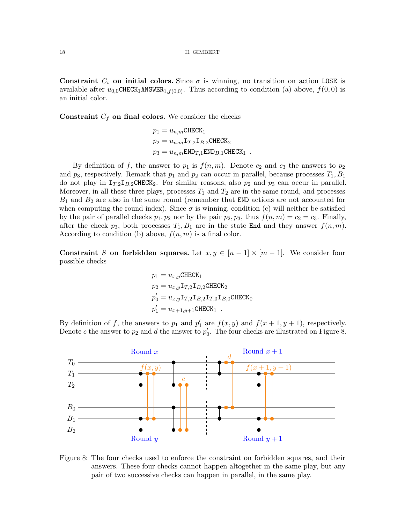Constraint  $C_i$  on initial colors. Since  $\sigma$  is winning, no transition on action LOSE is available after  $u_{0,0}$ CHECK<sub>1</sub>ANSWER<sub>1,f(0,0)</sub>. Thus according to condition (a) above,  $f(0,0)$  is an initial color.

**Constraint**  $C_f$  on final colors. We consider the checks

$$
p_1 = u_{n,m} \text{CHECK}_1
$$
  
\n
$$
p_2 = u_{n,m} \text{I}_{T,2} \text{I}_{B,2} \text{CHECK}_2
$$
  
\n
$$
p_3 = u_{n,m} \text{END}_{T,1} \text{END}_{B,1} \text{CHECK}_1
$$
.

By definition of f, the answer to  $p_1$  is  $f(n, m)$ . Denote  $c_2$  and  $c_3$  the answers to  $p_2$ and  $p_3$ , respectively. Remark that  $p_1$  and  $p_2$  can occur in parallel, because processes  $T_1, B_1$ do not play in  $I_{T,2}I_{B,2}CHECK_2$ . For similar reasons, also  $p_2$  and  $p_3$  can occur in parallel. Moreover, in all these three plays, processes  $T_1$  and  $T_2$  are in the same round, and processes  $B_1$  and  $B_2$  are also in the same round (remember that END actions are not accounted for when computing the round index). Since  $\sigma$  is winning, condition (c) will neither be satisfied by the pair of parallel checks  $p_1, p_2$  nor by the pair  $p_2, p_3$ , thus  $f(n, m) = c_2 = c_3$ . Finally, after the check  $p_3$ , both processes  $T_1, B_1$  are in the state End and they answer  $f(n, m)$ . According to condition (b) above,  $f(n, m)$  is a final color.

Constraint S on forbidden squares. Let  $x, y \in [n-1] \times [m-1]$ . We consider four possible checks

$$
p_1 = u_{x,y} \text{CHECK}_1
$$
  
\n
$$
p_2 = u_{x,y} \text{I}_{T,2} \text{I}_{B,2} \text{CHECK}_2
$$
  
\n
$$
p'_0 = u_{x,y} \text{I}_{T,2} \text{I}_{B,2} \text{I}_{T,0} \text{I}_{B,0} \text{CHECK}_0
$$
  
\n
$$
p'_1 = u_{x+1,y+1} \text{CHECK}_1
$$

By definition of f, the answers to  $p_1$  and  $p'_1$  are  $f(x, y)$  and  $f(x + 1, y + 1)$ , respectively. Denote c the answer to  $p_2$  and d the answer to  $p'_0$ . The four checks are illustrated on Figure [8.](#page-17-0)



<span id="page-17-0"></span>Figure 8: The four checks used to enforce the constraint on forbidden squares, and their answers. These four checks cannot happen altogether in the same play, but any pair of two successive checks can happen in parallel, in the same play.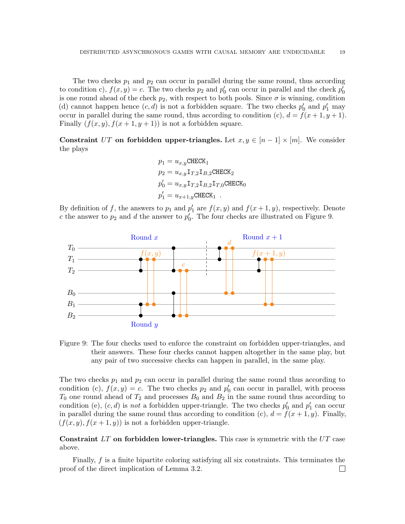The two checks  $p_1$  and  $p_2$  can occur in parallel during the same round, thus according to condition c),  $f(x, y) = c$ . The two checks  $p_2$  and  $p'_0$  can occur in parallel and the check  $p'_0$ is one round ahead of the check  $p_2$ , with respect to both pools. Since  $\sigma$  is winning, condition (d) cannot happen hence  $(c, d)$  is not a forbidden square. The two checks  $p'_0$  and  $p'_1$  may occur in parallel during the same round, thus according to condition (c),  $d = f(x + 1, y + 1)$ . Finally  $(f(x, y), f(x + 1, y + 1))$  is not a forbidden square.

Constraint UT on forbidden upper-triangles. Let  $x, y \in [n-1] \times [m]$ . We consider the plays

$$
p_1 = u_{x,y} \text{CHECK}_1
$$
  
\n
$$
p_2 = u_{x,y} \mathbf{I}_{T,2} \mathbf{I}_{B,2} \text{CHECK}_2
$$
  
\n
$$
p'_0 = u_{x,y} \mathbf{I}_{T,2} \mathbf{I}_{B,2} \mathbf{I}_{T,0} \text{CHECK}_0
$$
  
\n
$$
p'_1 = u_{x+1,y} \text{CHECK}_1
$$

By definition of f, the answers to  $p_1$  and  $p'_1$  are  $f(x, y)$  and  $f(x + 1, y)$ , respectively. Denote c the answer to  $p_2$  and d the answer to  $p'_0$ . The four checks are illustrated on Figure [9.](#page-18-0)



<span id="page-18-0"></span>Figure 9: The four checks used to enforce the constraint on forbidden upper-triangles, and their answers. These four checks cannot happen altogether in the same play, but any pair of two successive checks can happen in parallel, in the same play.

The two checks  $p_1$  and  $p_2$  can occur in parallel during the same round thus according to condition (c),  $f(x, y) = c$ . The two checks  $p_2$  and  $p'_0$  can occur in parallel, with process  $T_0$  one round ahead of  $T_2$  and processes  $B_0$  and  $B_2$  in the same round thus according to condition (e),  $(c, d)$  is *not* a forbidden upper-triangle. The two checks  $p'_0$  and  $p'_1$  can occur in parallel during the same round thus according to condition (c),  $d = f(x + 1, y)$ . Finally,  $(f(x, y), f(x + 1, y))$  is not a forbidden upper-triangle.

Constraint  $LT$  on forbidden lower-triangles. This case is symmetric with the  $UT$  case above.

Finally, f is a finite bipartite coloring satisfying all six constraints. This terminates the proof of the direct implication of Lemma [3.2.](#page-12-2) $\Box$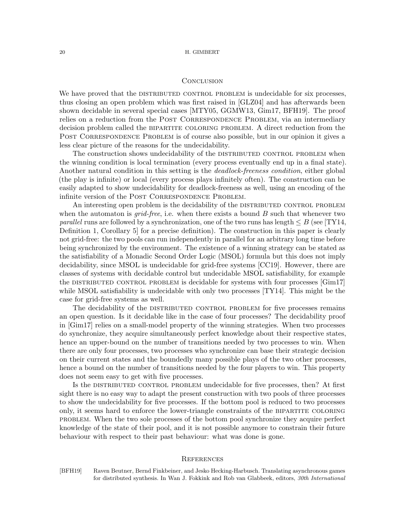## **CONCLUSION**

We have proved that the DISTRIBUTED CONTROL PROBLEM is undecidable for six processes, thus closing an open problem which was first raised in [\[GLZ04\]](#page-20-1) and has afterwards been shown decidable in several special cases [\[MTY05,](#page-20-5) [GGMW13,](#page-20-6) [Gim17,](#page-20-8) [BFH19\]](#page-19-0). The proof relies on a reduction from the POST CORRESPONDENCE PROBLEM, via an intermediary decision problem called the BIPARTITE COLORING PROBLEM. A direct reduction from the POST CORRESPONDENCE PROBLEM is of course also possible, but in our opinion it gives a less clear picture of the reasons for the undecidability.

The construction shows undecidability of the DISTRIBUTED CONTROL PROBLEM when the winning condition is local termination (every process eventually end up in a final state). Another natural condition in this setting is the *deadlock-freeness condition*, either global (the play is infinite) or local (every process plays infinitely often). The construction can be easily adapted to show undecidability for deadlock-freeness as well, using an encoding of the infinite version of the POST CORRESPONDENCE PROBLEM.

An interesting open problem is the decidability of the DISTRIBUTED CONTROL PROBLEM when the automaton is *grid-free*, i.e. when there exists a bound  $B$  such that whenever two *parallel* runs are followed by a synchronization, one of the two runs has length  $\leq B$  (see [\[TY14,](#page-21-4) Definition 1, Corollary 5] for a precise definition). The construction in this paper is clearly not grid-free: the two pools can run independently in parallel for an arbitrary long time before being synchronized by the environment. The existence of a winning strategy can be stated as the satisfiability of a Monadic Second Order Logic (MSOL) formula but this does not imply decidability, since MSOL is undecidable for grid-free systems [\[CC19\]](#page-20-13). However, there are classes of systems with decidable control but undecidable MSOL satisfiability, for example the DISTRIBUTED CONTROL PROBLEM is decidable for systems with four processes  $[Gim17]$ while MSOL satisfiability is undecidable with only two processes [\[TY14\]](#page-21-4). This might be the case for grid-free systems as well.

The decidability of the DISTRIBUTED CONTROL PROBLEM for five processes remains an open question. Is it decidable like in the case of four processes? The decidability proof in [\[Gim17\]](#page-20-8) relies on a small-model property of the winning strategies. When two processes do synchronize, they acquire simultaneously perfect knowledge about their respective states, hence an upper-bound on the number of transitions needed by two processes to win. When there are only four processes, two processes who synchronize can base their strategic decision on their current states and the boundedly many possible plays of the two other processes, hence a bound on the number of transitions needed by the four players to win. This property does not seem easy to get with five processes.

Is the DISTRIBUTED CONTROL PROBLEM undecidable for five processes, then? At first sight there is no easy way to adapt the present construction with two pools of three processes to show the undecidability for five processes. If the bottom pool is reduced to two processes only, it seems hard to enforce the lower-triangle constraints of the bipartite coloring problem. When the two sole processes of the bottom pool synchronize they acquire perfect knowledge of the state of their pool, and it is not possible anymore to constrain their future behaviour with respect to their past behaviour: what was done is gone.

### **REFERENCES**

<span id="page-19-0"></span>[BFH19] Raven Beutner, Bernd Finkbeiner, and Jesko Hecking-Harbusch. Translating asynchronous games for distributed synthesis. In Wan J. Fokkink and Rob van Glabbeek, editors, 30th International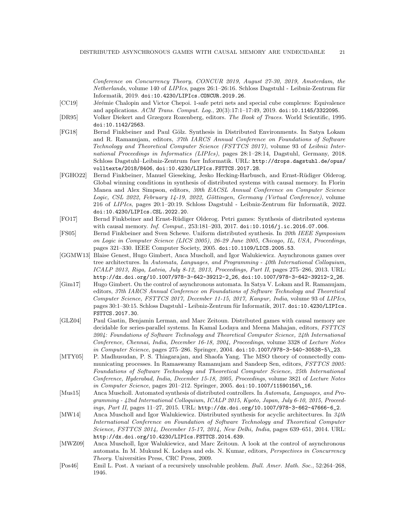Conference on Concurrency Theory, CONCUR 2019, August 27-30, 2019, Amsterdam, the  $Netherlands$ , volume 140 of *LIPIcs*, pages  $26:1-26:16$ . Schloss Dagstuhl - Leibniz-Zentrum für Informatik, 2019. [doi:10.4230/LIPIcs.CONCUR.2019.26](https://doi.org/10.4230/LIPIcs.CONCUR.2019.26).

- <span id="page-20-13"></span>[CC19] Jérémie Chalopin and Victor Chepoi. 1-safe petri nets and special cube complexes: Equivalence and applications. ACM Trans. Comput. Log., 20(3):17:1–17:49, 2019. [doi:10.1145/3322095](https://doi.org/10.1145/3322095).
- <span id="page-20-0"></span>[DR95] Volker Diekert and Grzegorz Rozenberg, editors. The Book of Traces. World Scientific, 1995. [doi:10.1142/2563](https://doi.org/10.1142/2563).
- <span id="page-20-10"></span>[FG18] Bernd Finkbeiner and Paul Gölz. Synthesis in Distributed Environments. In Satya Lokam and R. Ramanujam, editors, 37th IARCS Annual Conference on Foundations of Software Technology and Theoretical Computer Science (FSTTCS 2017), volume 93 of Leibniz International Proceedings in Informatics (LIPIcs), pages 28:1–28:14, Dagstuhl, Germany, 2018. Schloss Dagstuhl–Leibniz-Zentrum fuer Informatik. URL: [http://drops.dagstuhl.de/opus/](http://drops.dagstuhl.de/opus/volltexte/2018/8406) [volltexte/2018/8406](http://drops.dagstuhl.de/opus/volltexte/2018/8406), [doi:10.4230/LIPIcs.FSTTCS.2017.28](https://doi.org/10.4230/LIPIcs.FSTTCS.2017.28).
- <span id="page-20-11"></span>[FGHO22] Bernd Finkbeiner, Manuel Gieseking, Jesko Hecking-Harbusch, and Ernst-R¨udiger Olderog. Global winning conditions in synthesis of distributed systems with causal memory. In Florin Manea and Alex Simpson, editors, 30th EACSL Annual Conference on Computer Science Logic, CSL 2022, February 14-19, 2022, Göttingen, Germany (Virtual Conference), volume  $216$  of *LIPIcs*, pages  $20:1-20:19$ . Schloss Dagstuhl - Leibniz-Zentrum für Informatik, 2022. [doi:10.4230/LIPIcs.CSL.2022.20](https://doi.org/10.4230/LIPIcs.CSL.2022.20).
- <span id="page-20-9"></span>[FO17] Bernd Finkbeiner and Ernst-R¨udiger Olderog. Petri games: Synthesis of distributed systems with causal memory. *Inf. Comput.*, 253:181-203, 2017. [doi:10.1016/j.ic.2016.07.006](https://doi.org/10.1016/j.ic.2016.07.006).
- <span id="page-20-4"></span>[FS05] Bernd Finkbeiner and Sven Schewe. Uniform distributed synthesis. In 20th IEEE Symposium on Logic in Computer Science (LICS 2005), 26-29 June 2005, Chicago, IL, USA, Proceedings, pages 321–330. IEEE Computer Society, 2005. [doi:10.1109/LICS.2005.53](https://doi.org/10.1109/LICS.2005.53).
- <span id="page-20-6"></span>[GGMW13] Blaise Genest, Hugo Gimbert, Anca Muscholl, and Igor Walukiewicz. Asynchronous games over tree architectures. In Automata, Languages, and Programming - 40th International Colloquium, ICALP 2013, Riga, Latvia, July 8-12, 2013, Proceedings, Part II, pages 275–286, 2013. URL: [http://dx.doi.org/10.1007/978-3-642-39212-2\\_26](http://dx.doi.org/10.1007/978-3-642-39212-2_26), [doi:10.1007/978-3-642-39212-2\\_26](https://doi.org/10.1007/978-3-642-39212-2_26).
- <span id="page-20-8"></span>[Gim17] Hugo Gimbert. On the control of asynchronous automata. In Satya V. Lokam and R. Ramanujam, editors, 37th IARCS Annual Conference on Foundations of Software Technology and Theoretical Computer Science, FSTTCS 2017, December 11-15, 2017, Kanpur, India, volume 93 of LIPIcs, pages 30:1-30:15. Schloss Dagstuhl - Leibniz-Zentrum für Informatik, 2017. [doi:10.4230/LIPIcs.](https://doi.org/10.4230/LIPIcs.FSTTCS.2017.30) [FSTTCS.2017.30](https://doi.org/10.4230/LIPIcs.FSTTCS.2017.30).
- <span id="page-20-1"></span>[GLZ04] Paul Gastin, Benjamin Lerman, and Marc Zeitoun. Distributed games with causal memory are decidable for series-parallel systems. In Kamal Lodaya and Meena Mahajan, editors, FSTTCS 2004: Foundations of Software Technology and Theoretical Computer Science, 24th International Conference, Chennai, India, December 16-18, 2004, Proceedings, volume 3328 of Lecture Notes in Computer Science, pages 275–286. Springer, 2004. [doi:10.1007/978-3-540-30538-5\\\_23](https://doi.org/10.1007/978-3-540-30538-5_23).
- <span id="page-20-5"></span>[MTY05] P. Madhusudan, P. S. Thiagarajan, and Shaofa Yang. The MSO theory of connectedly communicating processes. In Ramaswamy Ramanujam and Sandeep Sen, editors, FSTTCS 2005: Foundations of Software Technology and Theoretical Computer Science, 25th International Conference, Hyderabad, India, December 15-18, 2005, Proceedings, volume 3821 of Lecture Notes in Computer Science, pages 201-212. Springer, 2005. [doi:10.1007/11590156\\\_16](https://doi.org/10.1007/11590156_16).
- <span id="page-20-3"></span>[Mus15] Anca Muscholl. Automated synthesis of distributed controllers. In Automata, Languages, and Programming - 42nd International Colloquium, ICALP 2015, Kyoto, Japan, July 6-10, 2015, Proceedings, Part II, pages 11–27, 2015. URL: [http://dx.doi.org/10.1007/978-3-662-47666-6\\_2](http://dx.doi.org/10.1007/978-3-662-47666-6_2).
- <span id="page-20-7"></span>[MW14] Anca Muscholl and Igor Walukiewicz. Distributed synthesis for acyclic architectures. In 34th International Conference on Foundation of Software Technology and Theoretical Computer Science, FSTTCS 2014, December 15-17, 2014, New Delhi, India, pages 639–651, 2014. URL: <http://dx.doi.org/10.4230/LIPIcs.FSTTCS.2014.639>.
- <span id="page-20-2"></span>[MWZ09] Anca Muscholl, Igor Walukiewicz, and Marc Zeitoun. A look at the control of asynchronous automata. In M. Mukund K. Lodaya and eds. N. Kumar, editors, Perspectives in Concurrency Theory. Universities Press, CRC Press, 2009.
- <span id="page-20-12"></span>[Pos46] Emil L. Post. A variant of a recursively unsolvable problem. Bull. Amer. Math. Soc., 52:264–268, 1946.